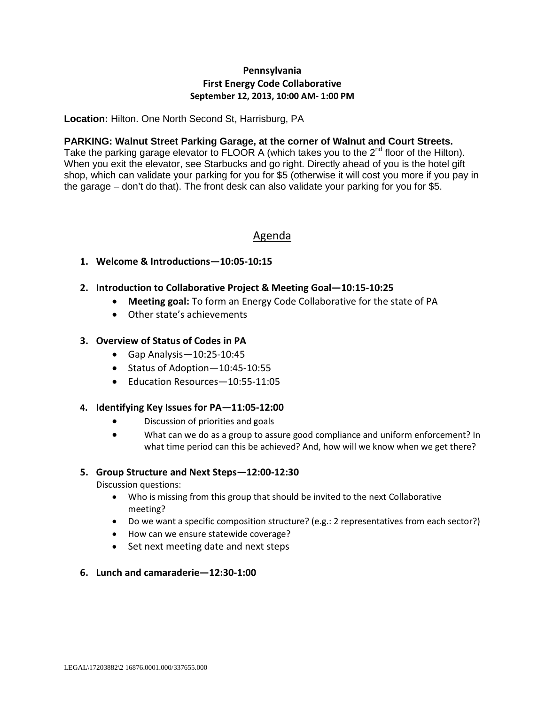## **Pennsylvania First Energy Code Collaborative September 12, 2013, 10:00 AM- 1:00 PM**

**Location:** Hilton. One North Second St, Harrisburg, PA

#### **PARKING: Walnut Street Parking Garage, at the corner of Walnut and Court Streets.**

Take the parking garage elevator to FLOOR A (which takes you to the 2<sup>nd</sup> floor of the Hilton). When you exit the elevator, see Starbucks and go right. Directly ahead of you is the hotel gift shop, which can validate your parking for you for \$5 (otherwise it will cost you more if you pay in the garage – don't do that). The front desk can also validate your parking for you for \$5.

# Agenda

### **1. Welcome & Introductions—10:05-10:15**

- **2. Introduction to Collaborative Project & Meeting Goal—10:15-10:25**
	- **Meeting goal:** To form an Energy Code Collaborative for the state of PA
	- Other state's achievements

#### **3. Overview of Status of Codes in PA**

- Gap Analysis—10:25-10:45
- Status of Adoption—10:45-10:55
- Education Resources—10:55-11:05

#### **4. Identifying Key Issues for PA—11:05-12:00**

- Discussion of priorities and goals
- What can we do as a group to assure good compliance and uniform enforcement? In what time period can this be achieved? And, how will we know when we get there?

#### **5. Group Structure and Next Steps—12:00-12:30**

Discussion questions:

- Who is missing from this group that should be invited to the next Collaborative meeting?
- Do we want a specific composition structure? (e.g.: 2 representatives from each sector?)
- How can we ensure statewide coverage?
- Set next meeting date and next steps
- **6. Lunch and camaraderie—12:30-1:00**